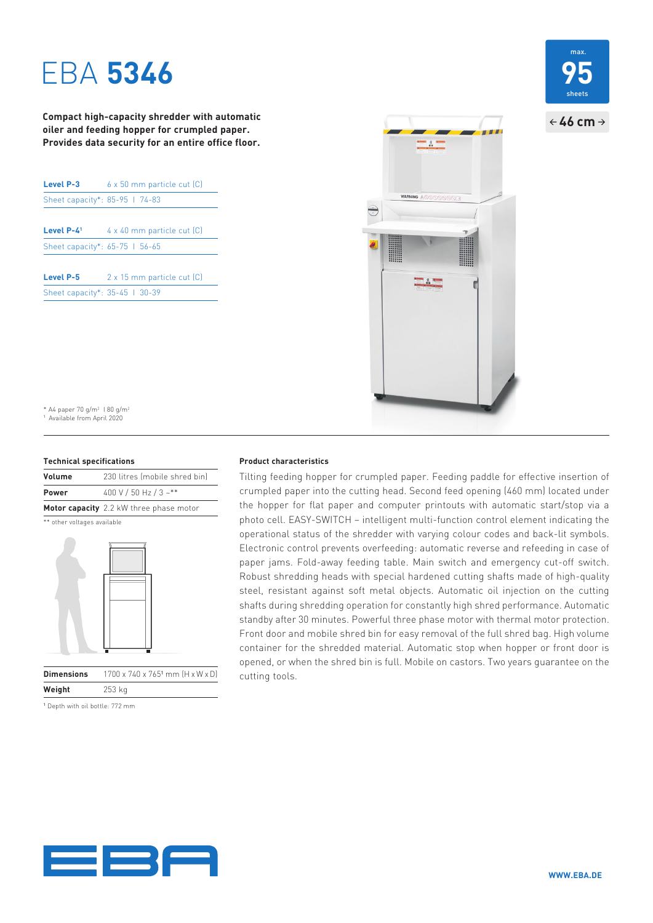# EBA **5346**

**Compact high-capacity shredder with automatic oiler and feeding hopper for crumpled paper. Provides data security for an entire office floor.**

| Level P-3                      | 6 x 50 mm particle cut (C) |
|--------------------------------|----------------------------|
| Sheet capacity*: 85-95   74-83 |                            |
|                                |                            |
| Level $P-41$                   | 4 x 40 mm particle cut [C] |
| Sheet capacity*: 65-75 1 56-65 |                            |
| <b>Level P-5</b>               | 2 x 15 mm particle cut (C) |
| Sheet capacity*: 35-45   30-39 |                            |





\* A4 paper 70 g/m<sup>2</sup> 1 80 g/m<sup>2</sup> 1 Available from April 2020

#### **Technical specifications**

| Volume       | 230 litres (mobile shred bin)           |
|--------------|-----------------------------------------|
| <b>Power</b> | 400 V / 50 Hz / 3 ~**                   |
|              | Motor capacity 2.2 kW three phase motor |

\*\* other voltages available



**Dimensions** 1700 x 740 x 765<sup>1</sup> mm (H x W x D) **Weight** 253 kg

1 Depth with oil bottle: 772 mm

#### **Product characteristics**

Tilting feeding hopper for crumpled paper. Feeding paddle for effective insertion of crumpled paper into the cutting head. Second feed opening (460 mm) located under the hopper for flat paper and computer printouts with automatic start/stop via a photo cell. EASY-SWITCH – intelligent multi-function control element indicating the operational status of the shredder with varying colour codes and back-lit symbols. Electronic control prevents over feeding: automatic reverse and refeeding in case of paper jams. Fold-away feeding table. Main switch and emergency cut-off switch. Robust shredding heads with special hardened cutting shafts made of high-quality steel, resistant against soft metal objects. Automatic oil injection on the cutting shafts during shredding operation for constantly high shred performance. Automatic standby after 30 minutes. Powerful three phase motor with thermal motor protection. Front door and mobile shred bin for easy removal of the full shred bag. High volume container for the shredded material. Automatic stop when hopper or front door is opened, or when the shred bin is full. Mobile on castors. Two years guarantee on the cutting tools.